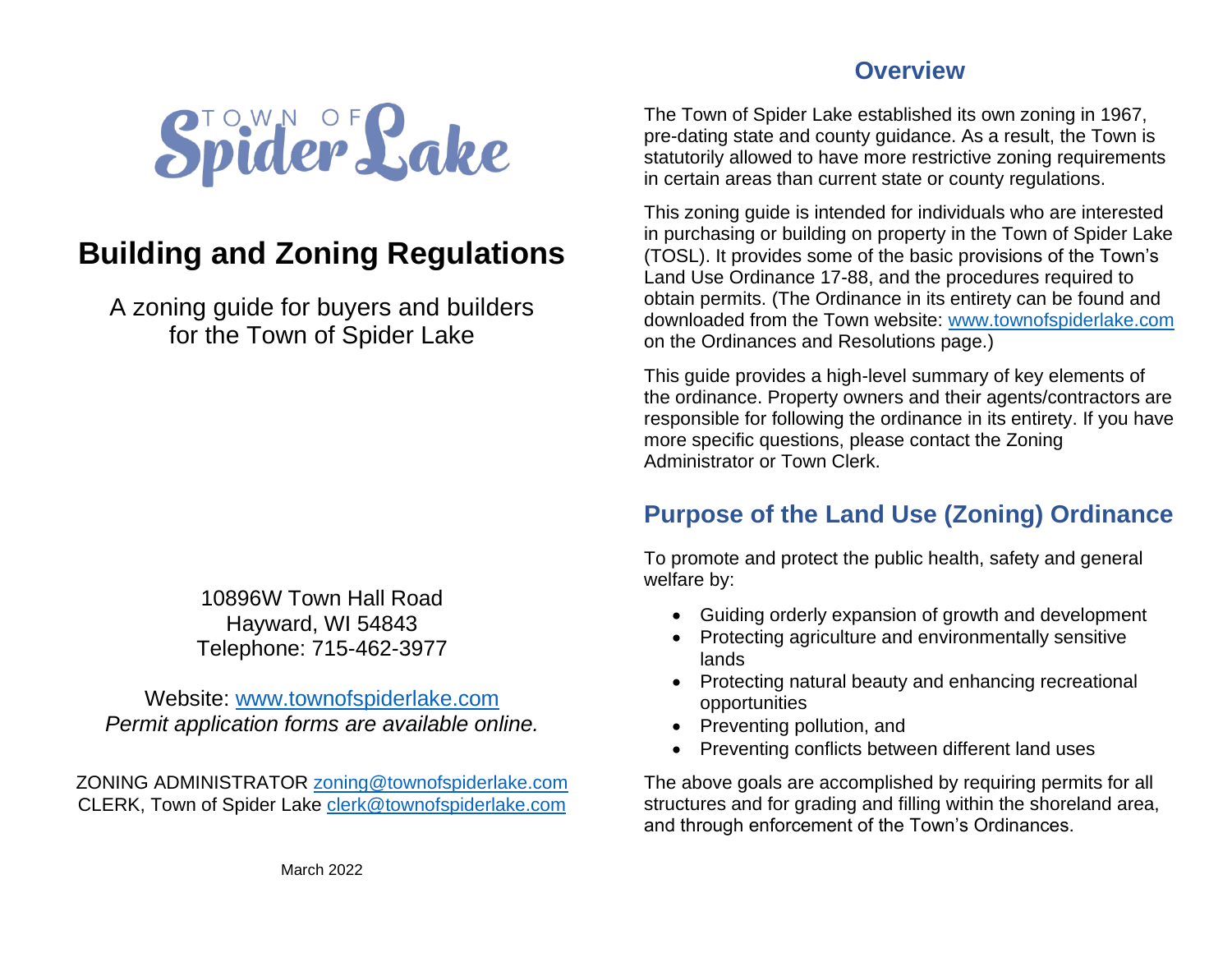

# **Building and Zoning Regulations**

A zoning guide for buyers and builders for the Town of Spider Lake

> 10896W Town Hall Road Hayward, WI 54843 Telephone: 715-462-3977

Website: [www.townofspiderlake.com](http://www.townofspiderlake.com/) *Permit application forms are available online.*

ZONING ADMINISTRATOR [zoning@townofspiderlake.com](mailto:zoning@townofspiderlake.com) CLERK, Town of Spider Lake [clerk@townofspiderlake.com](mailto:clerk@townofspiderlake.com)

#### **Overview**

The Town of Spider Lake established its own zoning in 1967, pre-dating state and county guidance. As a result, the Town is statutorily allowed to have more restrictive zoning requirements in certain areas than current state or county regulations.

This zoning guide is intended for individuals who are interested in purchasing or building on property in the Town of Spider Lake (TOSL). It provides some of the basic provisions of the Town's Land Use Ordinance 17-88, and the procedures required to obtain permits. (The Ordinance in its entirety can be found and downloaded from the Town website: [www.townofspiderlake.com](http://www.townofspiderlake.com/) on the Ordinances and Resolutions page.)

This guide provides a high-level summary of key elements of the ordinance. Property owners and their agents/contractors are responsible for following the ordinance in its entirety. If you have more specific questions, please contact the Zoning Administrator or Town Clerk.

## **Purpose of the Land Use (Zoning) Ordinance**

To promote and protect the public health, safety and general welfare by:

- Guiding orderly expansion of growth and development
- Protecting agriculture and environmentally sensitive lands
- Protecting natural beauty and enhancing recreational opportunities
- Preventing pollution, and
- Preventing conflicts between different land uses

The above goals are accomplished by requiring permits for all structures and for grading and filling within the shoreland area, and through enforcement of the Town's Ordinances.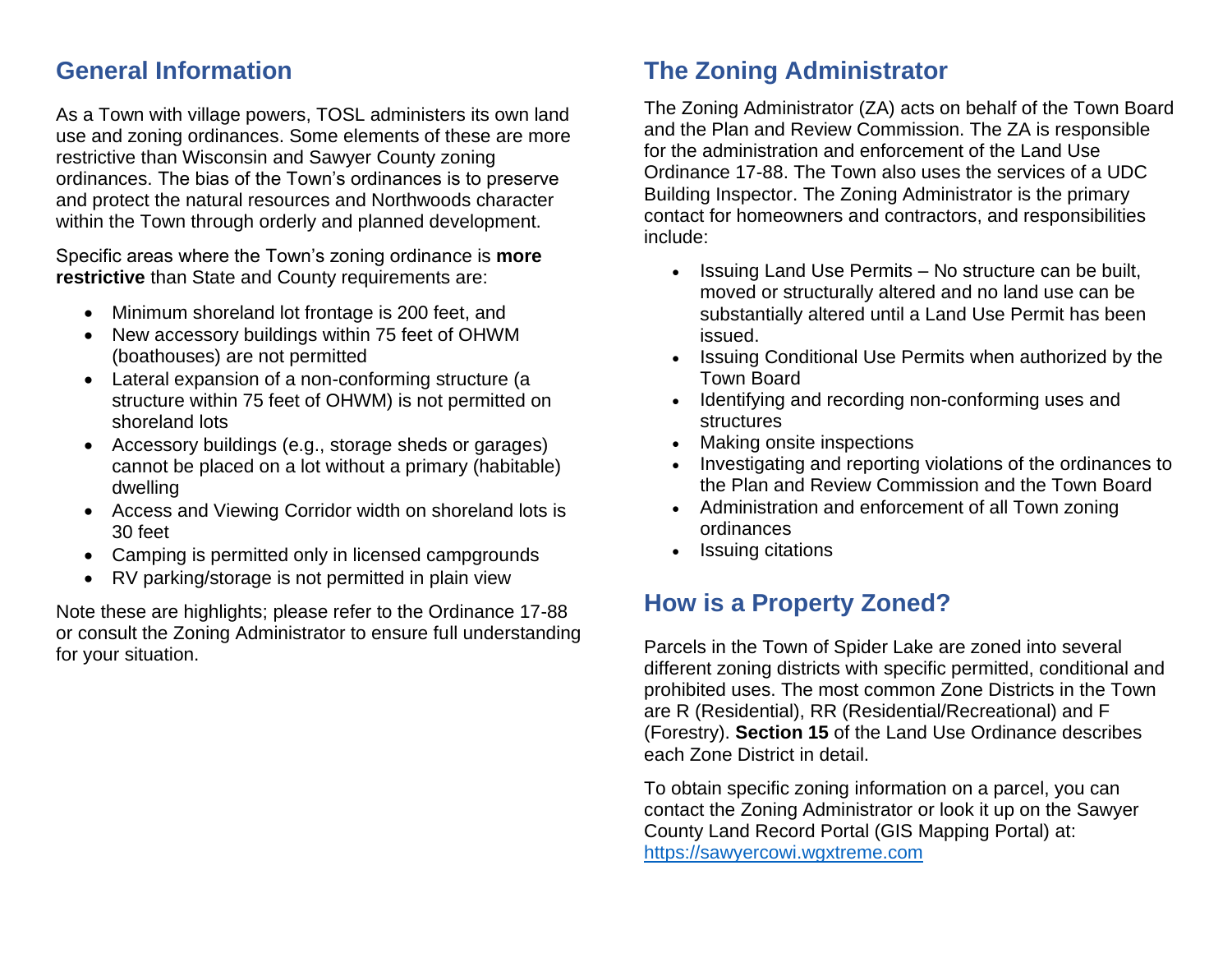#### **General Information**

As a Town with village powers, TOSL administers its own land use and zoning ordinances. Some elements of these are more restrictive than Wisconsin and Sawyer County zoning ordinances. The bias of the Town's ordinances is to preserve and protect the natural resources and Northwoods character within the Town through orderly and planned development.

Specific areas where the Town's zoning ordinance is **more restrictive** than State and County requirements are:

- Minimum shoreland lot frontage is 200 feet, and
- New accessory buildings within 75 feet of OHWM (boathouses) are not permitted
- Lateral expansion of a non-conforming structure (a structure within 75 feet of OHWM) is not permitted on shoreland lots
- Accessory buildings (e.g., storage sheds or garages) cannot be placed on a lot without a primary (habitable) dwelling
- Access and Viewing Corridor width on shoreland lots is 30 feet
- Camping is permitted only in licensed campgrounds
- RV parking/storage is not permitted in plain view

Note these are highlights; please refer to the Ordinance 17-88 or consult the Zoning Administrator to ensure full understanding for your situation.

## **The Zoning Administrator**

The Zoning Administrator (ZA) acts on behalf of the Town Board and the Plan and Review Commission. The ZA is responsible for the administration and enforcement of the Land Use Ordinance 17-88. The Town also uses the services of a UDC Building Inspector. The Zoning Administrator is the primary contact for homeowners and contractors, and responsibilities include:

- Issuing Land Use Permits No structure can be built, moved or structurally altered and no land use can be substantially altered until a Land Use Permit has been issued.
- Issuing Conditional Use Permits when authorized by the Town Board
- Identifying and recording non-conforming uses and structures
- Making onsite inspections
- Investigating and reporting violations of the ordinances to the Plan and Review Commission and the Town Board
- Administration and enforcement of all Town zoning ordinances
- Issuing citations

## **How is a Property Zoned?**

Parcels in the Town of Spider Lake are zoned into several different zoning districts with specific permitted, conditional and prohibited uses. The most common Zone Districts in the Town are R (Residential), RR (Residential/Recreational) and F (Forestry). **Section 15** of the Land Use Ordinance describes each Zone District in detail.

To obtain specific zoning information on a parcel, you can contact the Zoning Administrator or look it up on the Sawyer County Land Record Portal (GIS Mapping Portal) at: [https://sawyercowi.wgxtreme.com](https://sawyercowi.wgxtreme.com/)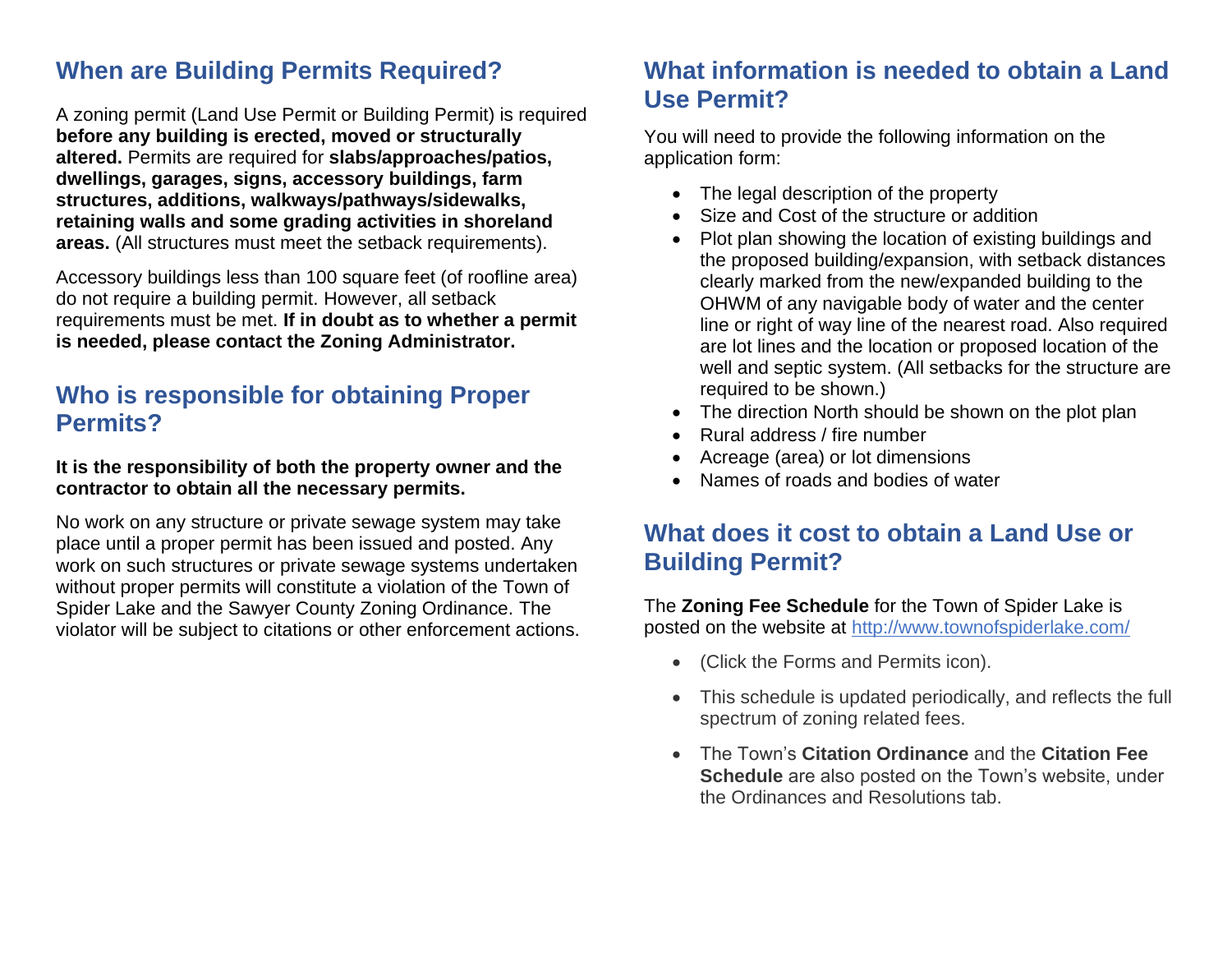## **When are Building Permits Required?**

A zoning permit (Land Use Permit or Building Permit) is required **before any building is erected, moved or structurally altered.** Permits are required for **slabs/approaches/patios, dwellings, garages, signs, accessory buildings, farm structures, additions, walkways/pathways/sidewalks, retaining walls and some grading activities in shoreland areas.** (All structures must meet the setback requirements).

Accessory buildings less than 100 square feet (of roofline area) do not require a building permit. However, all setback requirements must be met. **If in doubt as to whether a permit is needed, please contact the Zoning Administrator.**

#### **Who is responsible for obtaining Proper Permits?**

#### **It is the responsibility of both the property owner and the contractor to obtain all the necessary permits.**

No work on any structure or private sewage system may take place until a proper permit has been issued and posted. Any work on such structures or private sewage systems undertaken without proper permits will constitute a violation of the Town of Spider Lake and the Sawyer County Zoning Ordinance. The violator will be subject to citations or other enforcement actions.

## **What information is needed to obtain a Land Use Permit?**

You will need to provide the following information on the application form:

- The legal description of the property
- Size and Cost of the structure or addition
- Plot plan showing the location of existing buildings and the proposed building/expansion, with setback distances clearly marked from the new/expanded building to the OHWM of any navigable body of water and the center line or right of way line of the nearest road. Also required are lot lines and the location or proposed location of the well and septic system. (All setbacks for the structure are required to be shown.)
- The direction North should be shown on the plot plan
- Rural address / fire number
- Acreage (area) or lot dimensions
- Names of roads and bodies of water

## **What does it cost to obtain a Land Use or Building Permit?**

#### The **Zoning Fee Schedule** for the Town of Spider Lake is posted on the website at<http://www.townofspiderlake.com/>

- (Click the Forms and Permits icon).
- This schedule is updated periodically, and reflects the full spectrum of zoning related fees.
- The Town's **Citation Ordinance** and the **Citation Fee Schedule** are also posted on the Town's website, under the Ordinances and Resolutions tab.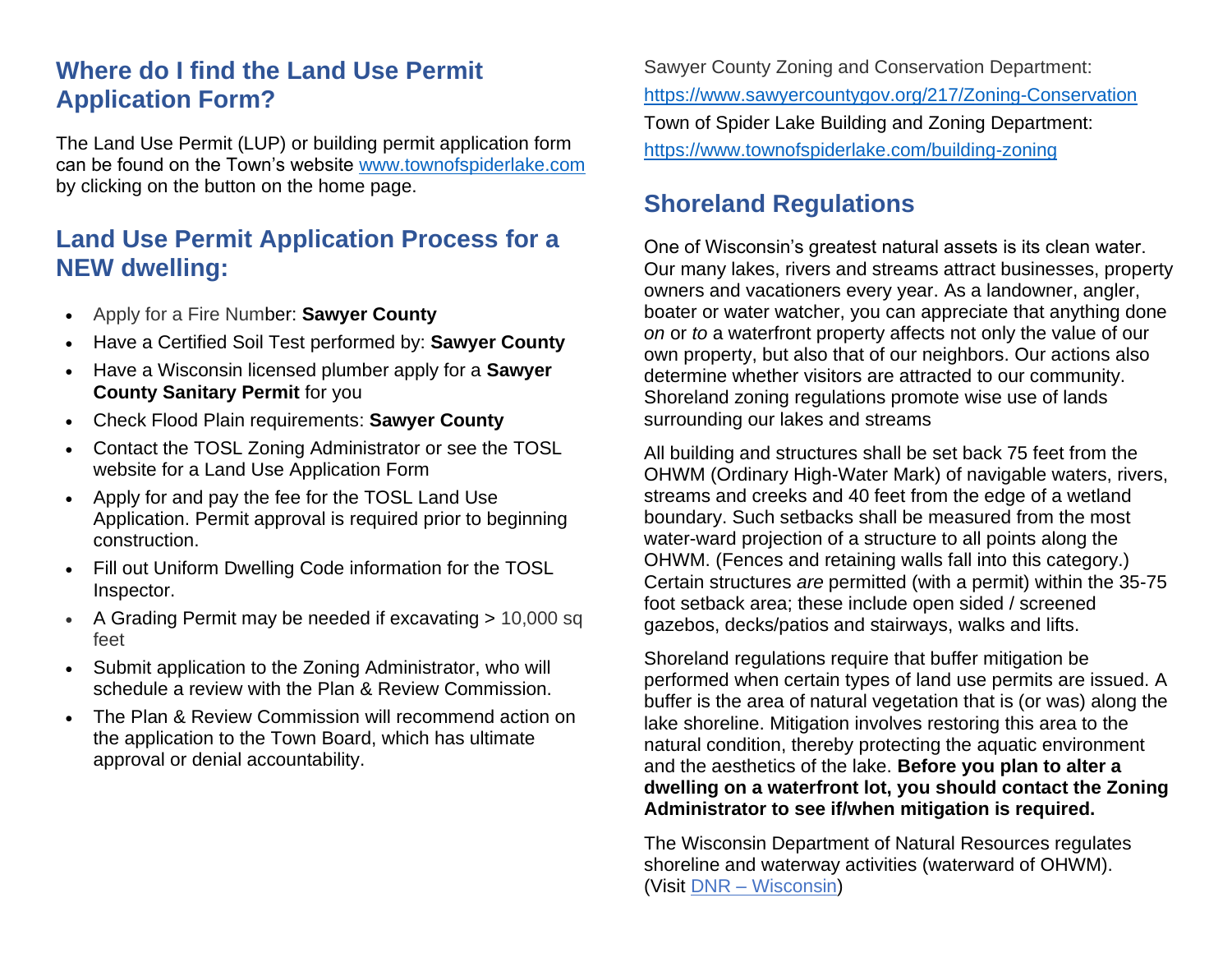## **Where do I find the Land Use Permit Application Form?**

The Land Use Permit (LUP) or building permit application form can be found on the Town's website [www.townofspiderlake.com](http://www.townofspiderlake.com/) by clicking on the button on the home page.

#### **Land Use Permit Application Process for a NEW dwelling:**

- Apply for a Fire Number: **Sawyer County**
- Have a Certified Soil Test performed by: **Sawyer County**
- Have a Wisconsin licensed plumber apply for a **Sawyer County Sanitary Permit** for you
- Check Flood Plain requirements: **Sawyer County**
- Contact the TOSL Zoning Administrator or see the TOSL website for a Land Use Application Form
- Apply for and pay the fee for the TOSL Land Use Application. Permit approval is required prior to beginning construction.
- Fill out Uniform Dwelling Code information for the TOSL Inspector.
- A Grading Permit may be needed if excavating > 10,000 sq feet
- Submit application to the Zoning Administrator, who will schedule a review with the Plan & Review Commission.
- The Plan & Review Commission will recommend action on the application to the Town Board, which has ultimate approval or denial accountability.

Sawyer County Zoning and Conservation Department: <https://www.sawyercountygov.org/217/Zoning-Conservation> Town of Spider Lake Building and Zoning Department: <https://www.townofspiderlake.com/building-zoning>

## **Shoreland Regulations**

One of Wisconsin's greatest natural assets is its clean water. Our many lakes, rivers and streams attract businesses, property owners and vacationers every year. As a landowner, angler, boater or water watcher, you can appreciate that anything done *on* or *to* a waterfront property affects not only the value of our own property, but also that of our neighbors. Our actions also determine whether visitors are attracted to our community. Shoreland zoning regulations promote wise use of lands surrounding our lakes and streams

All building and structures shall be set back 75 feet from the OHWM (Ordinary High-Water Mark) of navigable waters, rivers, streams and creeks and 40 feet from the edge of a wetland boundary. Such setbacks shall be measured from the most water-ward projection of a structure to all points along the OHWM. (Fences and retaining walls fall into this category.) Certain structures *are* permitted (with a permit) within the 35-75 foot setback area; these include open sided / screened gazebos, decks/patios and stairways, walks and lifts.

Shoreland regulations require that buffer mitigation be performed when certain types of land use permits are issued. A buffer is the area of natural vegetation that is (or was) along the lake shoreline. Mitigation involves restoring this area to the natural condition, thereby protecting the aquatic environment and the aesthetics of the lake. **Before you plan to alter a dwelling on a waterfront lot, you should contact the Zoning Administrator to see if/when mitigation is required.**

The Wisconsin Department of Natural Resources regulates shoreline and waterway activities (waterward of OHWM). (Visit DNR – [Wisconsin\)](http://dnr.wi.gov/)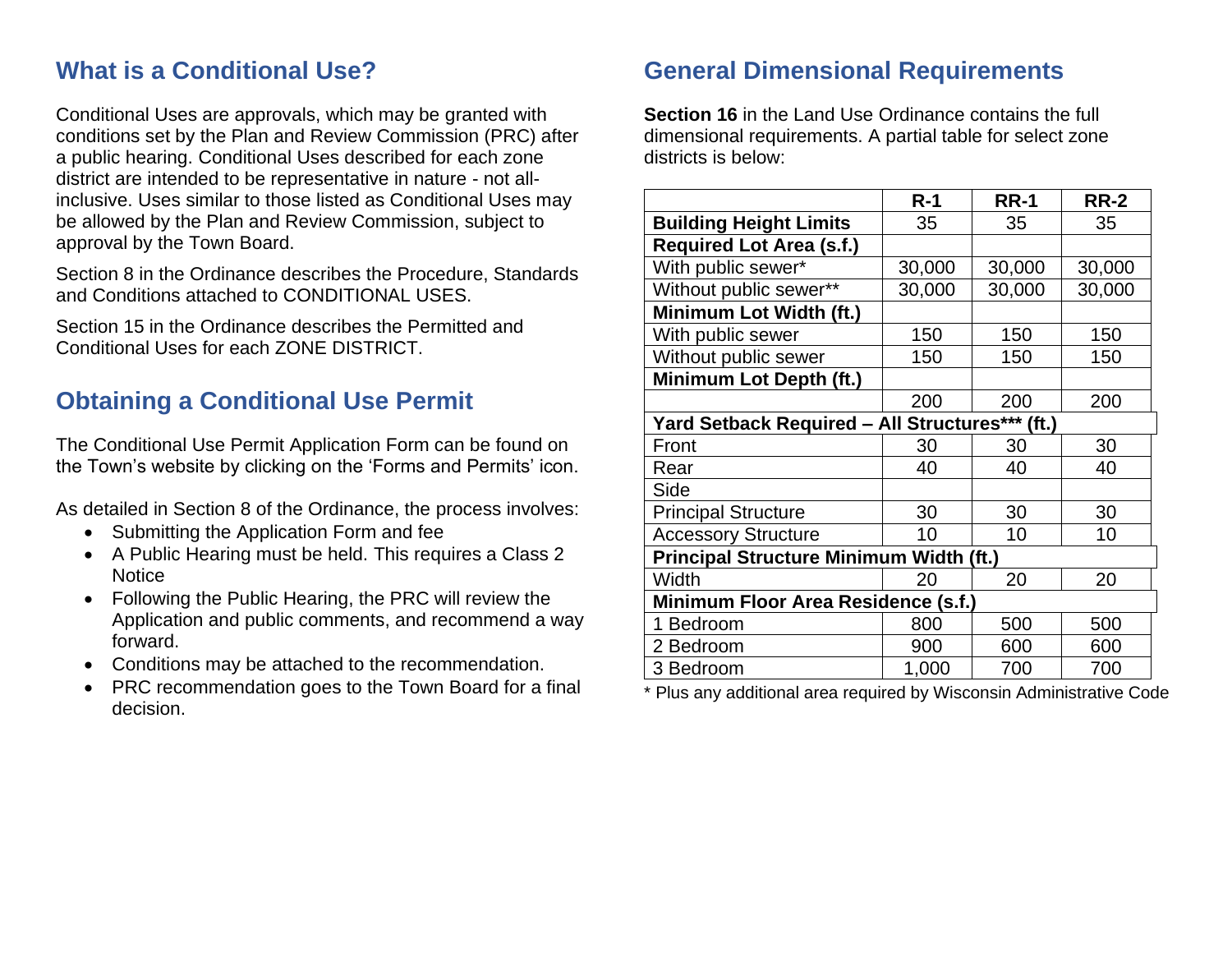#### **What is a Conditional Use?**

Conditional Uses are approvals, which may be granted with conditions set by the Plan and Review Commission (PRC) after a public hearing. Conditional Uses described for each zone district are intended to be representative in nature - not allinclusive. Uses similar to those listed as Conditional Uses may be allowed by the Plan and Review Commission, subject to approval by the Town Board.

Section 8 in the Ordinance describes the Procedure, Standards and Conditions attached to CONDITIONAL USES.

Section 15 in the Ordinance describes the Permitted and Conditional Uses for each ZONE DISTRICT.

## **Obtaining a Conditional Use Permit**

The Conditional Use Permit Application Form can be found on the Town's website by clicking on the 'Forms and Permits' icon.

As detailed in Section 8 of the Ordinance, the process involves:

- Submitting the Application Form and fee
- A Public Hearing must be held. This requires a Class 2 **Notice**
- Following the Public Hearing, the PRC will review the Application and public comments, and recommend a way forward.
- Conditions may be attached to the recommendation.
- PRC recommendation goes to the Town Board for a final decision.

## **General Dimensional Requirements**

**Section 16** in the Land Use Ordinance contains the full dimensional requirements. A partial table for select zone districts is below:

|                                                 | $R-1$  | <b>RR-1</b> | <b>RR-2</b> |
|-------------------------------------------------|--------|-------------|-------------|
| <b>Building Height Limits</b>                   | 35     | 35          | 35          |
| <b>Required Lot Area (s.f.)</b>                 |        |             |             |
| With public sewer*                              | 30,000 | 30,000      | 30,000      |
| Without public sewer**                          | 30,000 | 30,000      | 30,000      |
| Minimum Lot Width (ft.)                         |        |             |             |
| With public sewer                               | 150    | 150         | 150         |
| Without public sewer                            | 150    | 150         | 150         |
| Minimum Lot Depth (ft.)                         |        |             |             |
|                                                 | 200    | 200         | 200         |
| Yard Setback Required - All Structures*** (ft.) |        |             |             |
| Front                                           | 30     | 30          | 30          |
| Rear                                            | 40     | 40          | 40          |
| Side                                            |        |             |             |
| <b>Principal Structure</b>                      | 30     | 30          | 30          |
| <b>Accessory Structure</b>                      | 10     | 10          | 10          |
| <b>Principal Structure Minimum Width (ft.)</b>  |        |             |             |
| Width                                           | 20     | 20          | 20          |
| <b>Minimum Floor Area Residence (s.f.)</b>      |        |             |             |
| 1 Bedroom                                       | 800    | 500         | 500         |
| 2 Bedroom                                       | 900    | 600         | 600         |
| 3 Bedroom                                       | 1,000  | 700         | 700         |

\* Plus any additional area required by Wisconsin Administrative Code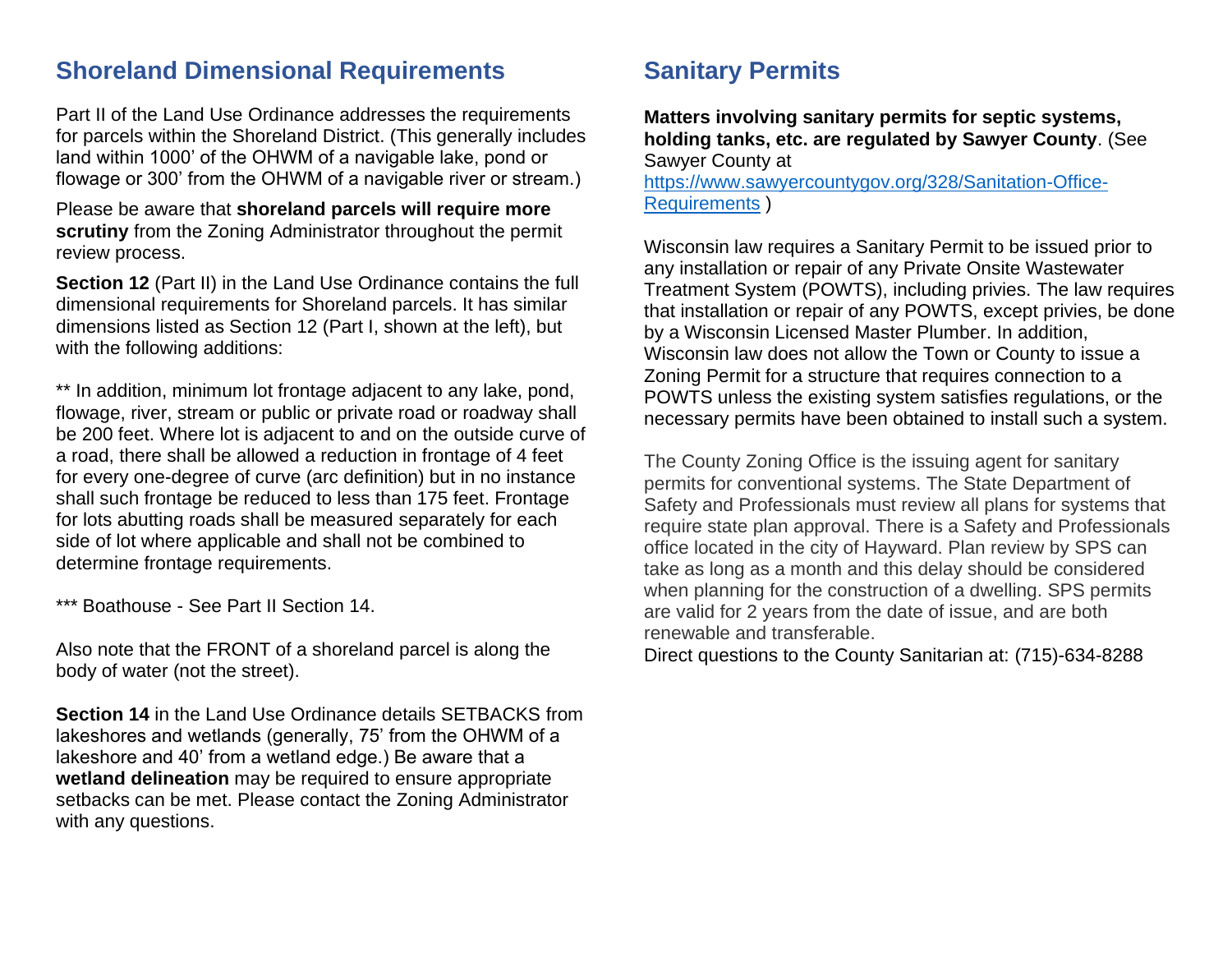#### **Shoreland Dimensional Requirements**

Part II of the Land Use Ordinance addresses the requirements for parcels within the Shoreland District. (This generally includes land within 1000' of the OHWM of a navigable lake, pond or flowage or 300' from the OHWM of a navigable river or stream.)

Please be aware that **shoreland parcels will require more scrutiny** from the Zoning Administrator throughout the permit review process.

**Section 12** (Part II) in the Land Use Ordinance contains the full dimensional requirements for Shoreland parcels. It has similar dimensions listed as Section 12 (Part I, shown at the left), but with the following additions:

\*\* In addition, minimum lot frontage adjacent to any lake, pond, flowage, river, stream or public or private road or roadway shall be 200 feet. Where lot is adjacent to and on the outside curve of a road, there shall be allowed a reduction in frontage of 4 feet for every one-degree of curve (arc definition) but in no instance shall such frontage be reduced to less than 175 feet. Frontage for lots abutting roads shall be measured separately for each side of lot where applicable and shall not be combined to determine frontage requirements.

\*\*\* Boathouse - See Part II Section 14.

Also note that the FRONT of a shoreland parcel is along the body of water (not the street).

**Section 14** in the Land Use Ordinance details SETBACKS from lakeshores and wetlands (generally, 75' from the OHWM of a lakeshore and 40' from a wetland edge.) Be aware that a **wetland delineation** may be required to ensure appropriate setbacks can be met. Please contact the Zoning Administrator with any questions.

## **Sanitary Permits**

**Matters involving sanitary permits for septic systems, holding tanks, etc. are regulated by Sawyer County**. (See Sawyer County at [https://www.sawyercountygov.org/328/Sanitation-Office-](https://www.sawyercountygov.org/328/Sanitation-Office-Requirements)[Requirements](https://www.sawyercountygov.org/328/Sanitation-Office-Requirements) )

Wisconsin law requires a Sanitary Permit to be issued prior to any installation or repair of any Private Onsite Wastewater Treatment System (POWTS), including privies. The law requires that installation or repair of any POWTS, except privies, be done by a Wisconsin Licensed Master Plumber. In addition, Wisconsin law does not allow the Town or County to issue a Zoning Permit for a structure that requires connection to a POWTS unless the existing system satisfies regulations, or the necessary permits have been obtained to install such a system.

The County Zoning Office is the issuing agent for sanitary permits for conventional systems. The State Department of Safety and Professionals must review all plans for systems that require state plan approval. There is a Safety and Professionals office located in the city of Hayward. Plan review by SPS can take as long as a month and this delay should be considered when planning for the construction of a dwelling. SPS permits are valid for 2 years from the date of issue, and are both renewable and transferable.

Direct questions to the County Sanitarian at: (715)-634-8288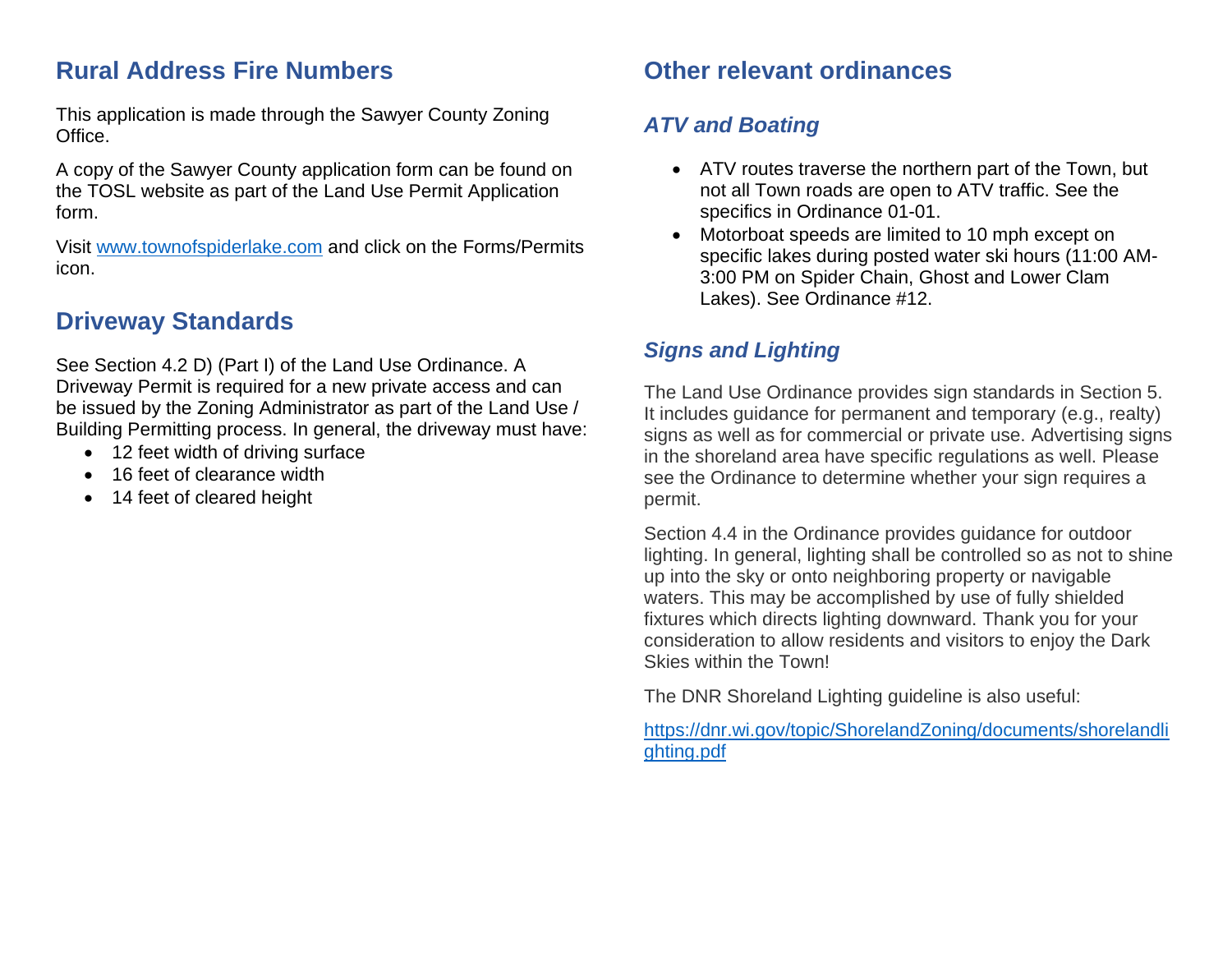## **Rural Address Fire Numbers**

This application is made through the Sawyer County Zoning Office.

A copy of the Sawyer County application form can be found on the TOSL website as part of the Land Use Permit Application form.

Visit [www.townofspiderlake.com](http://www.townofspiderlake.com/) and click on the Forms/Permits icon.

## **Driveway Standards**

See Section 4.2 D) (Part I) of the Land Use Ordinance. A Driveway Permit is required for a new private access and can be issued by the Zoning Administrator as part of the Land Use / Building Permitting process. In general, the driveway must have:

- 12 feet width of driving surface
- 16 feet of clearance width
- 14 feet of cleared height

## **Other relevant ordinances**

#### *ATV and Boating*

- ATV routes traverse the northern part of the Town, but not all Town roads are open to ATV traffic. See the specifics in Ordinance 01-01.
- Motorboat speeds are limited to 10 mph except on specific lakes during posted water ski hours (11:00 AM-3:00 PM on Spider Chain, Ghost and Lower Clam Lakes). See Ordinance #12.

## *Signs and Lighting*

The Land Use Ordinance provides sign standards in Section 5. It includes guidance for permanent and temporary (e.g., realty) signs as well as for commercial or private use. Advertising signs in the shoreland area have specific regulations as well. Please see the Ordinance to determine whether your sign requires a permit.

Section 4.4 in the Ordinance provides guidance for outdoor lighting. In general, lighting shall be controlled so as not to shine up into the sky or onto neighboring property or navigable waters. This may be accomplished by use of fully shielded fixtures which directs lighting downward. Thank you for your consideration to allow residents and visitors to enjoy the Dark Skies within the Town!

The DNR Shoreland Lighting guideline is also useful:

[https://dnr.wi.gov/topic/ShorelandZoning/documents/shorelandli](https://dnr.wi.gov/topic/ShorelandZoning/documents/shorelandlighting.pdf) [ghting.pdf](https://dnr.wi.gov/topic/ShorelandZoning/documents/shorelandlighting.pdf)